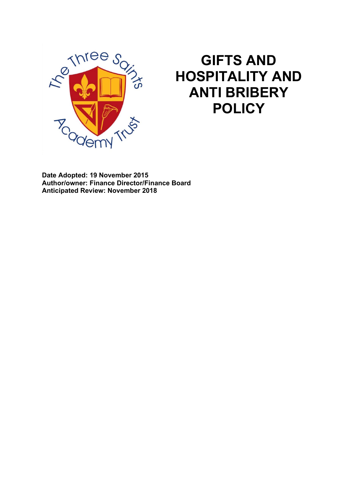

# **GIFTS AND HOSPITALITY AND ANTI BRIBERY POLICY**

**Date Adopted: 19 November 2015 Author/owner: Finance Director/Finance Board Anticipated Review: November 2018**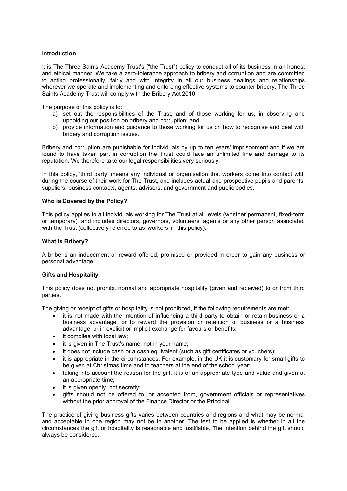### **Introduction**

It is The Three Saints Academy Trust's ("the Trust") policy to conduct all of its business in an honest and ethical manner. We take a zero-tolerance approach to bribery and corruption and are committed to acting professionally, fairly and with integrity in all our business dealings and relationships wherever we operate and implementing and enforcing effective systems to counter bribery. The Three Saints Academy Trust will comply with the Bribery Act 2010.

The purpose of this policy is to:

- a) set out the responsibilities of the Trust, and of those working for us, in observing and upholding our position on bribery and corruption; and
- b) provide information and guidance to those working for us on how to recognise and deal with bribery and corruption issues.

Bribery and corruption are punishable for individuals by up to ten years' imprisonment and if we are found to have taken part in corruption the Trust could face an unlimited fine and damage to its reputation. We therefore take our legal responsibilities very seriously.

In this policy, 'third party' means any individual or organisation that workers come into contact with during the course of their work for The Trust, and includes actual and prospective pupils and parents, suppliers, business contacts, agents, advisers, and government and public bodies.

# **Who is Covered by the Policy?**

This policy applies to all individuals working for The Trust at all levels (whether permanent, fixed-term or temporary), and includes directors, governors, volunteers, agents or any other person associated with the Trust (collectively referred to as 'workers' in this policy).

# **What is Bribery?**

A bribe is an inducement or reward offered, promised or provided in order to gain any business or personal advantage.

#### **Gifts and Hospitality**

This policy does not prohibit normal and appropriate hospitality (given and received) to or from third parties.

The giving or receipt of gifts or hospitality is not prohibited, if the following requirements are met:

- it is not made with the intention of influencing a third party to obtain or retain business or a business advantage, or to reward the provision or retention of business or a business advantage, or in explicit or implicit exchange for favours or benefits;
- it complies with local law;
- it is given in The Trust's name, not in your name;
- it does not include cash or a cash equivalent (such as gift certificates or vouchers);
- it is appropriate in the circumstances. For example, in the UK it is customary for small gifts to be given at Christmas time and to teachers at the end of the school year;
- taking into account the reason for the gift, it is of an appropriate type and value and given at an appropriate time;
- it is given openly, not secretly:
- gifts should not be offered to, or accepted from, government officials or representatives without the prior approval of the Finance Director or the Principal.

The practice of giving business gifts varies between countries and regions and what may be normal and acceptable in one region may not be in another. The test to be applied is whether in all the circumstances the gift or hospitality is reasonable and justifiable. The intention behind the gift should always be considered.